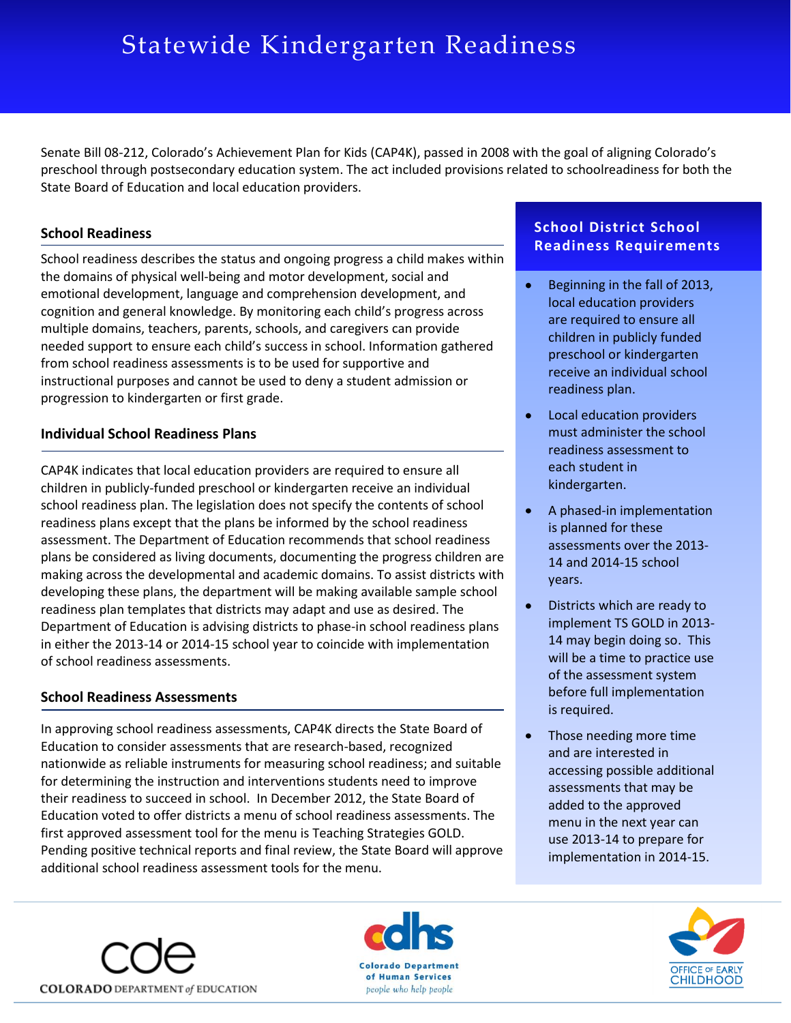# Statewide Kindergarten Readiness

Senate Bill 08‐212, Colorado's Achievement Plan for Kids (CAP4K), passed in 2008 with the goal of aligning Colorado's preschool through postsecondary education system. The act included provisions related to schoolreadiness for both the State Board of Education and local education providers.

## **School Readiness**

School readiness describes the status and ongoing progress a child makes within the domains of physical well‐being and motor development, social and emotional development, language and comprehension development, and cognition and general knowledge. By monitoring each child's progress across multiple domains, teachers, parents, schools, and caregivers can provide needed support to ensure each child's success in school. Information gathered from school readiness assessments is to be used for supportive and instructional purposes and cannot be used to deny a student admission or progression to kindergarten or first grade.

#### **Individual School Readiness Plans**

CAP4K indicates that local education providers are required to ensure all children in publicly‐funded preschool or kindergarten receive an individual school readiness plan. The legislation does not specify the contents of school readiness plans except that the plans be informed by the school readiness assessment. The Department of Education recommends that school readiness plans be considered as living documents, documenting the progress children are making across the developmental and academic domains. To assist districts with developing these plans, the department will be making available sample school readiness plan templates that districts may adapt and use as desired. The Department of Education is advising districts to phase‐in school readiness plans in either the 2013‐14 or 2014‐15 school year to coincide with implementation of school readiness assessments.

#### **School Readiness Assessments**

In approving school readiness assessments, CAP4K directs the State Board of Education to consider assessments that are research‐based, recognized nationwide as reliable instruments for measuring school readiness; and suitable for determining the instruction and interventions students need to improve their readiness to succeed in school. In December 2012, the State Board of Education voted to offer districts a menu of school readiness assessments. The first approved assessment tool for the menu is Teaching Strategies GOLD. Pending positive technical reports and final review, the State Board will approve additional school readiness assessment tools for the menu.

# **School District School Readiness Requirements**

- $\bullet^\circ$ Beginning in the fall of 2013, local education providers are required to ensure all children in publicly funded preschool or kindergarten receive an individual school readiness plan.
- Local education providers must administer the school readiness assessment to each student in kindergarten.
- A phased‐in implementation is planned for these assessments over the 2013‐ 14 and 2014‐15 school years.
- Districts which are ready to  $\bullet$ implement TS GOLD in 2013‐ 14 may begin doing so. This will be a time to practice use of the assessment system before full implementation is required.
- $\bullet$ Those needing more time and are interested in accessing possible additional assessments that may be added to the approved menu in the next year can use 2013‐14 to prepare for implementation in 2014‐15.



**COLORADO** DEPARTMENT of EDUCATION